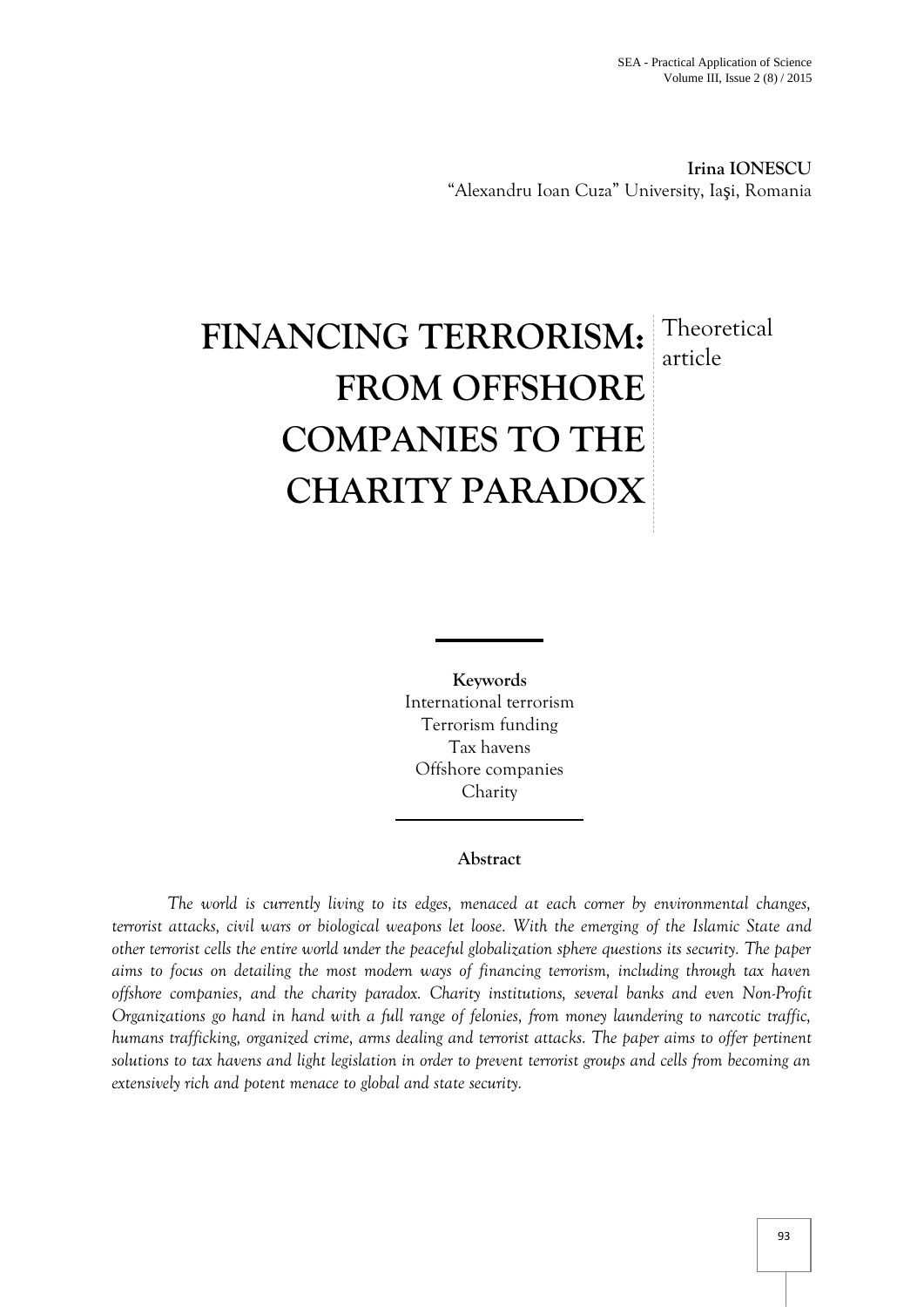**Irina IONESCU** "Alexandru Ioan Cuza" University, Ia i, Romania

# **FINANCING TERRORISM:** Theoretical **FROM OFFSHORE COMPANIES TO THE CHARITY PARADOX** article

**Keywords** International terrorism Terrorism funding Tax havens Offshore companies Charity

## **Abstract**

*The world is currently living to its edges, menaced at each corner by environmental changes, terrorist attacks, civil wars or biological weapons let loose. With the emerging of the Islamic State and other terrorist cells the entire world under the peaceful globalization sphere questions its security. The paper aims to focus on detailing the most modern ways of financing terrorism, including through tax haven offshore companies, and the charity paradox. Charity institutions, several banks and even Non-Profit Organizations go hand in hand with a full range of felonies, from money laundering to narcotic traffic, humans trafficking, organized crime, arms dealing and terrorist attacks. The paper aims to offer pertinent solutions to tax havens and light legislation in order to prevent terrorist groups and cells from becoming an extensively rich and potent menace to global and state security.*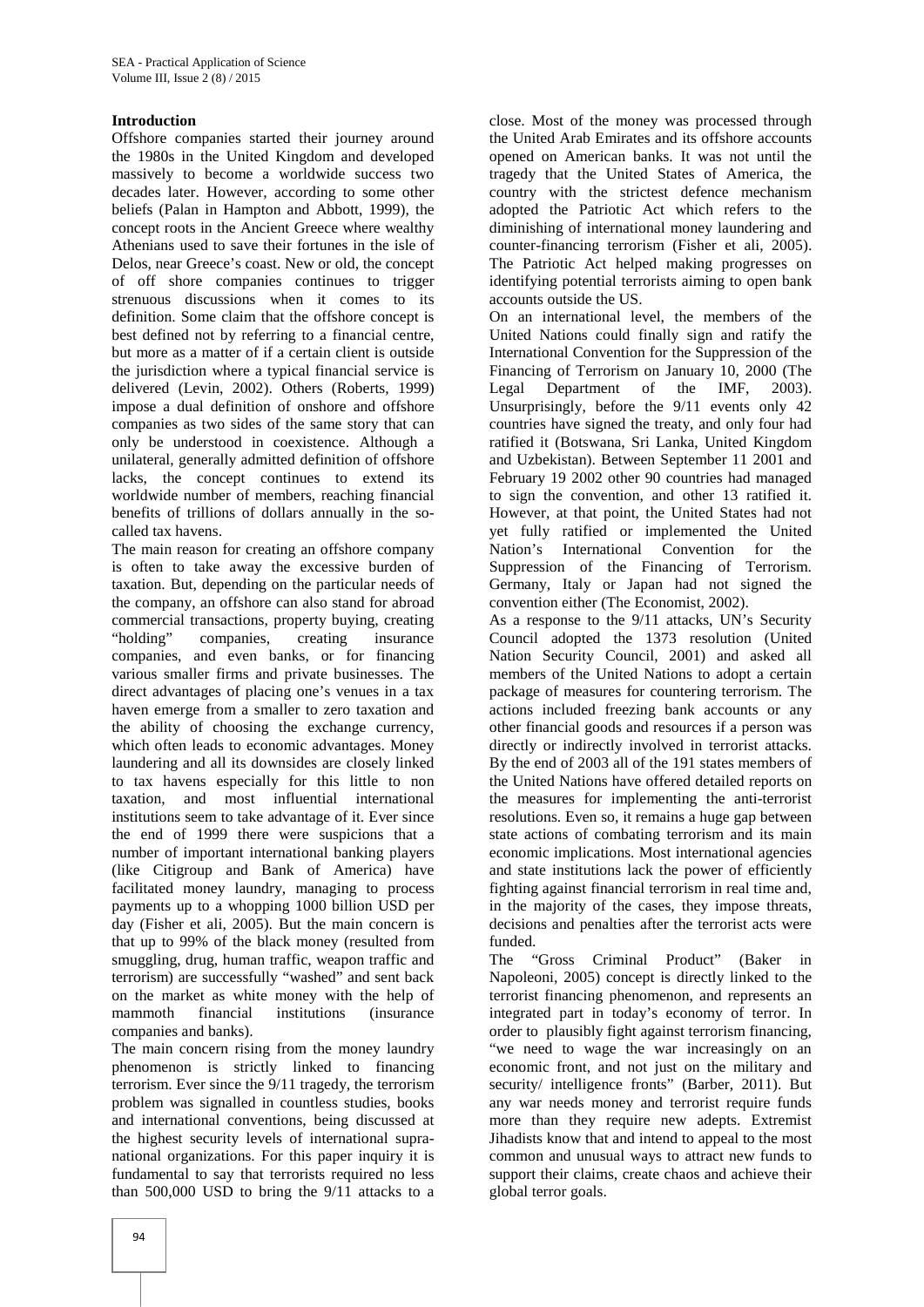#### **Introduction**

Offshore companies started their journey around the 1980s in the United Kingdom and developed massively to become a worldwide success two decades later. However, according to some other beliefs (Palan in Hampton and Abbott, 1999), the concept roots in the Ancient Greece where wealthy Athenians used to save their fortunes in the isle of Delos, near Greece's coast. New or old, the concept of off shore companies continues to trigger strenuous discussions when it comes to its definition. Some claim that the offshore concept is best defined not by referring to a financial centre, but more as a matter of if a certain client is outside the jurisdiction where a typical financial service is delivered (Levin, 2002). Others (Roberts, 1999) impose a dual definition of onshore and offshore companies as two sides of the same story that can only be understood in coexistence. Although a unilateral, generally admitted definition of offshore lacks, the concept continues to extend its worldwide number of members, reaching financial benefits of trillions of dollars annually in the so called tax havens.

The main reason for creating an offshore company Nation's is often to take away the excessive burden of taxation. But, depending on the particular needs of the company, an offshore can also stand for abroad commercial transactions, property buying, creating<br>
"holding" companies, creating insurance companies, creating insurance companies, and even banks, or for financing various smaller firms and private businesses. The direct advantages of placing one's venues in a tax haven emerge from a smaller to zero taxation and the ability of choosing the exchange currency, which often leads to economic advantages. Money laundering and all its downsides are closely linked to tax havens especially for this little to non taxation, and most influential international institutions seem to take advantage of it. Ever since the end of 1999 there were suspicions that a number of important international banking players (like Citigroup and Bank of America) have facilitated money laundry, managing to process payments up to a whopping 1000 billion USD per day (Fisher et ali, 2005). But the main concern is that up to 99% of the black money (resulted from smuggling, drug, human traffic, weapon traffic and terrorism) are successfully "washed" and sent back on the market as white money with the help of<br>mammoth financial institutions (insurance mammoth financial institutions (insurance companies and banks).

The main concern rising from the money laundry phenomenon is strictly linked to financing terrorism. Ever since the 9/11 tragedy, the terrorism problem was signalled in countless studies, books and international conventions, being discussed at the highest security levels of international supra national organizations. For this paper inquiry it is fundamental to say that terrorists required no less than 500,000 USD to bring the  $9/11$  attacks to a

close. Most of the money was processed through the United Arab Emirates and its offshore accounts opened on American banks. It was not until the tragedy that the United States of America, the country with the strictest defence mechanism adopted the Patriotic Act which refers to the diminishing of international money laundering and counter-financing terrorism (Fisher et ali, 2005). The Patriotic Act helped making progresses on identifying potential terrorists aiming to open bank accounts outside the US.

On an international level, the members of the United Nations could finally sign and ratify the International Convention for the Suppression of the Financing of Terrorism on January 10, 2000 (The Legal Department of the IMF, 2003). Unsurprisingly, before the 9/11 events only 42 countries have signed the treaty, and only four had ratified it (Botswana, Sri Lanka, United Kingdom and Uzbekistan). Between September 11 2001 and February 19 2002 other 90 countries had managed to sign the convention, and other 13 ratified it. However, at that point, the United States had not yet fully ratified or implemented the United International Convention for the Suppression of the Financing of Terrorism. Germany, Italy or Japan had not signed the convention either (The Economist, 2002).

As a response to the 9/11 attacks, UN's Security Council adopted the 1373 resolution (United Nation Security Council, 2001) and asked all members of the United Nations to adopt a certain package of measures for countering terrorism. The actions included freezing bank accounts or any other financial goods and resources if a person was directly or indirectly involved in terrorist attacks. By the end of 2003 all of the 191 states members of the United Nations have offered detailed reports on the measures for implementing the anti-terrorist resolutions. Even so, it remains a huge gap between state actions of combating terrorism and its main economic implications. Most international agencies and state institutions lack the power of efficiently fighting against financial terrorism in real time and, in the majority of the cases, they impose threats, decisions and penalties after the terrorist acts were funded.

The "Gross Criminal Product" (Baker in Napoleoni, 2005) concept is directly linked to the terrorist financing phenomenon, and represents an integrated part in today's economy of terror. In order to plausibly fight against terrorism financing, "we need to wage the war increasingly on an economic front, and not just on the military and security/ intelligence fronts" (Barber, 2011). But any war needs money and terrorist require funds more than they require new adepts. Extremist Jihadists know that and intend to appeal to the most common and unusual ways to attract new funds to support their claims, create chaos and achieve their global terror goals.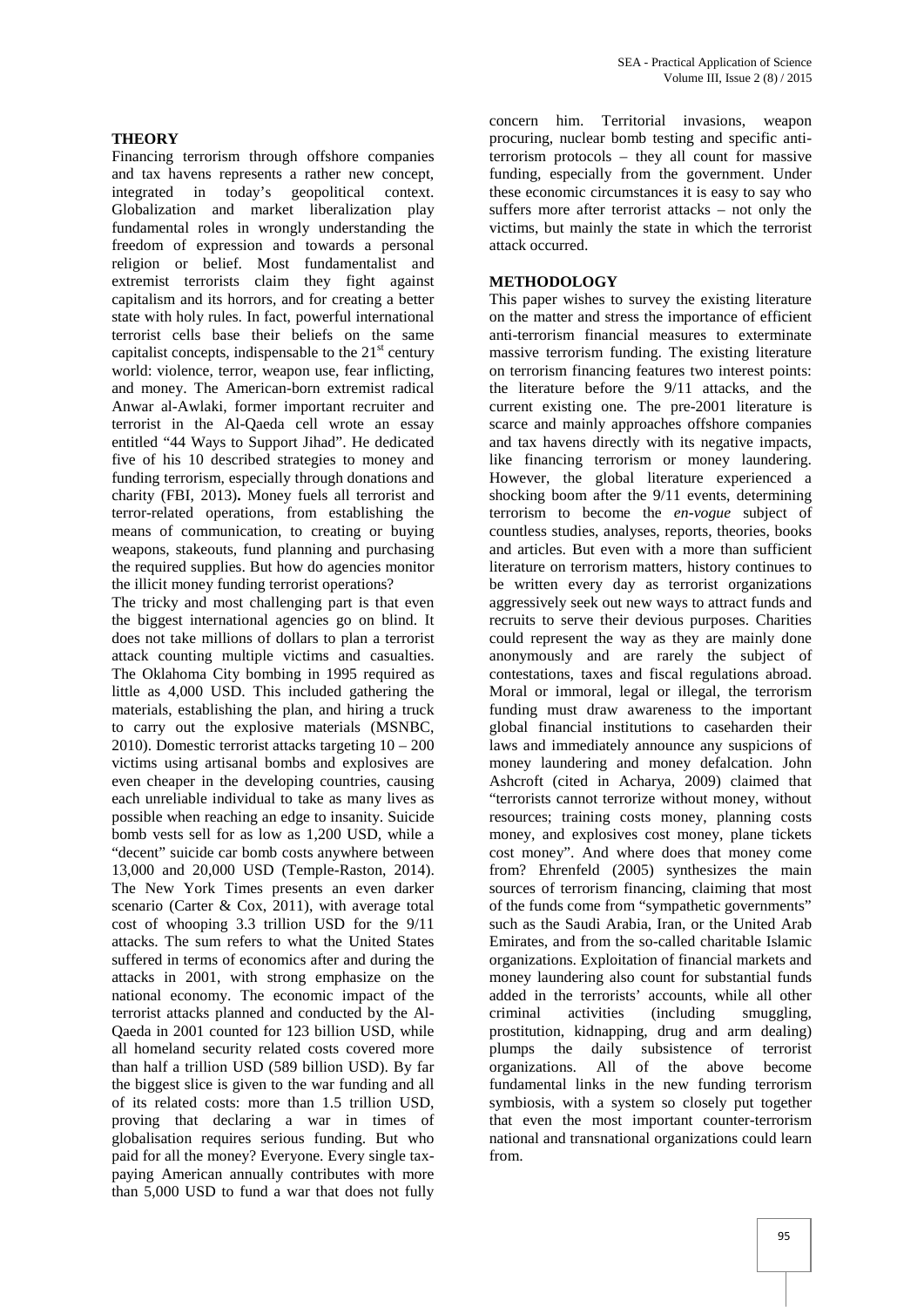## **THEORY**

Financing terrorism through offshore companies and tax havens represents a rather new concept, integrated in today's geopolitical context. Globalization and market liberalization play fundamental roles in wrongly understanding the freedom of expression and towards a personal religion or belief. Most fundamentalist and extremist terrorists claim they fight against capitalism and its horrors, and for creating a better state with holy rules. In fact, powerful international terrorist cells base their beliefs on the same capitalist concepts, indispensable to the  $21<sup>st</sup>$  century world: violence, terror, weapon use, fear inflicting, and money. The American-born extremist radical Anwar al-Awlaki, former important recruiter and terrorist in the Al-Qaeda cell wrote an essay entitled "44 Ways to Support Jihad". He dedicated five of his 10 described strategies to money and funding terrorism, especially through donations and charity (FBI, 2013)**.** Money fuels all terrorist and terror-related operations, from establishing the means of communication, to creating or buying weapons, stakeouts, fund planning and purchasing the required supplies. But how do agencies monitor the illicit money funding terrorist operations?

The tricky and most challenging part is that even the biggest international agencies go on blind. It does not take millions of dollars to plan a terrorist attack counting multiple victims and casualties. The Oklahoma City bombing in 1995 required as little as 4,000 USD. This included gathering the materials, establishing the plan, and hiring a truck to carry out the explosive materials (MSNBC, 2010). Domestic terrorist attacks targeting 10 – 200 victims using artisanal bombs and explosives are even cheaper in the developing countries, causing each unreliable individual to take as many lives as possible when reaching an edge to insanity. Suicide bomb vests sell for as low as 1,200 USD, while a "decent" suicide car bomb costs anywhere between 13,000 and 20,000 USD (Temple-Raston, 2014). The New York Times presents an even darker scenario (Carter & Cox, 2011), with average total cost of whooping 3.3 trillion USD for the 9/11 attacks. The sum refers to what the United States suffered in terms of economics after and during the attacks in 2001, with strong emphasize on the national economy. The economic impact of the terrorist attacks planned and conducted by the Al- Qaeda in 2001 counted for 123 billion USD, while all homeland security related costs covered more than half a trillion USD (589 billion USD). By far the biggest slice is given to the war funding and all of its related costs: more than 1.5 trillion USD, proving that declaring a war in times of globalisation requires serious funding. But who paid for all the money? Everyone. Every single tax paying American annually contributes with more than 5,000 USD to fund a war that does not fully

concern him. Territorial invasions, weapon procuring, nuclear bomb testing and specific antiterrorism protocols – they all count for massive funding, especially from the government. Under these economic circumstances it is easy to say who suffers more after terrorist attacks – not only the victims, but mainly the state in which the terrorist attack occurred.

#### **METHODOLOGY**

This paper wishes to survey the existing literature on the matter and stress the importance of efficient anti-terrorism financial measures to exterminate massive terrorism funding. The existing literature on terrorism financing features two interest points: the literature before the 9/11 attacks, and the current existing one. The pre-2001 literature is scarce and mainly approaches offshore companies and tax havens directly with its negative impacts, like financing terrorism or money laundering. However, the global literature experienced a shocking boom after the 9/11 events, determining terrorism to become the *en-vogue* subject of countless studies, analyses, reports, theories, books and articles. But even with a more than sufficient literature on terrorism matters, history continues to be written every day as terrorist organizations aggressively seek out new ways to attract funds and recruits to serve their devious purposes. Charities could represent the way as they are mainly done anonymously and are rarely the subject of contestations, taxes and fiscal regulations abroad. Moral or immoral, legal or illegal, the terrorism funding must draw awareness to the important global financial institutions to caseharden their laws and immediately announce any suspicions of money laundering and money defalcation. John Ashcroft (cited in Acharya, 2009) claimed that "terrorists cannot terrorize without money, without resources; training costs money, planning costs money, and explosives cost money, plane tickets cost money". And where does that money come from? Ehrenfeld (2005) synthesizes the main sources of terrorism financing, claiming that most of the funds come from "sympathetic governments" such as the Saudi Arabia, Iran, or the United Arab Emirates, and from the so-called charitable Islamic organizations. Exploitation of financial markets and money laundering also count for substantial funds added in the terrorists' accounts, while all other criminal activities (including smuggling, activities (including smuggling, prostitution, kidnapping, drug and arm dealing) plumps the daily subsistence of terrorist organizations. All of the above become fundamental links in the new funding terrorism symbiosis, with a system so closely put together that even the most important counter-terrorism national and transnational organizations could learn from.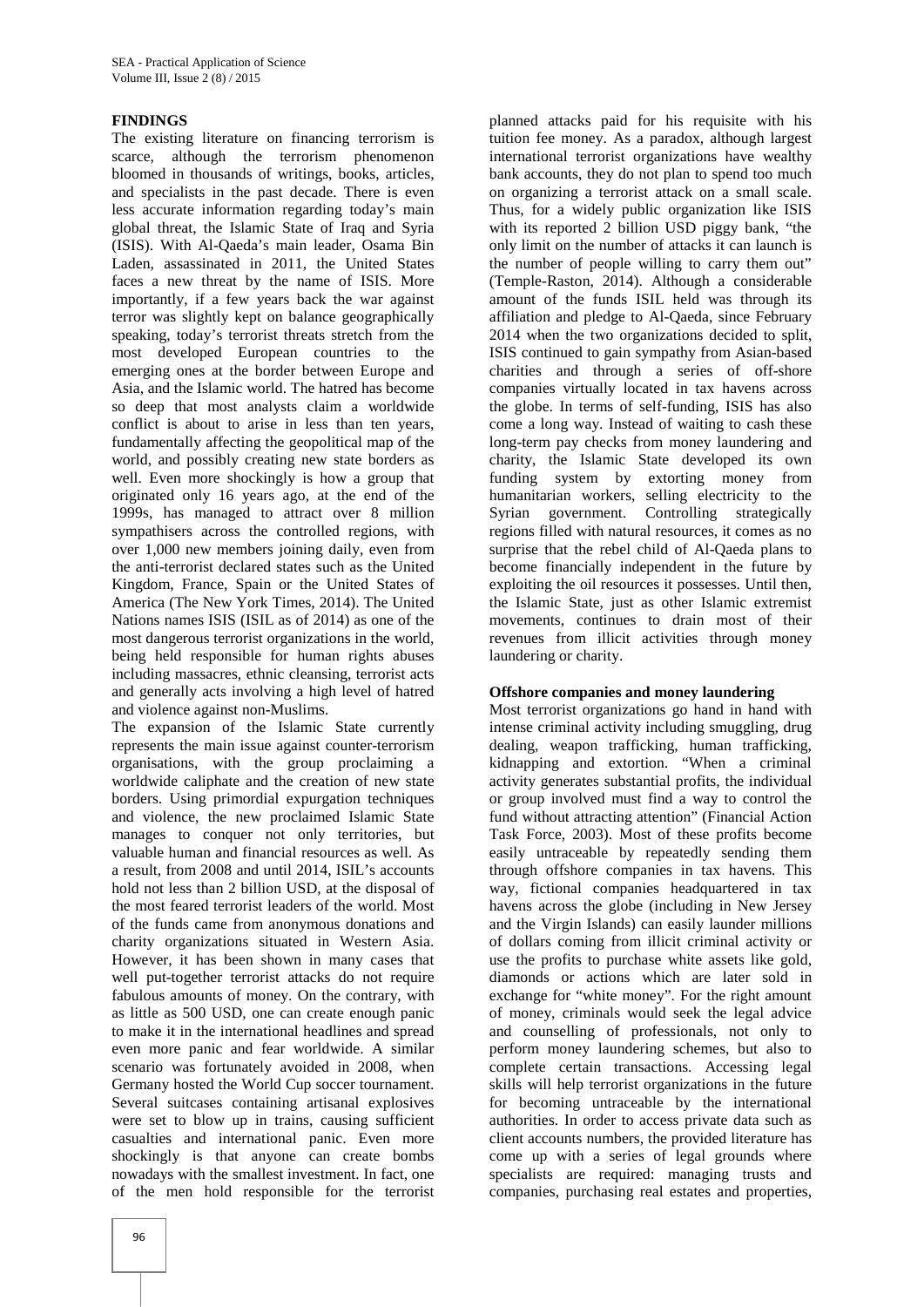### **FINDINGS**

The existing literature on financing terrorism is scarce, although the terrorism phenomenon bloomed in thousands of writings, books, articles, and specialists in the past decade. There is even less accurate information regarding today's main global threat, the Islamic State of Iraq and Syria (ISIS). With Al-Qaeda's main leader, Osama Bin Laden, assassinated in 2011, the United States faces a new threat by the name of ISIS. More importantly, if a few years back the war against terror was slightly kept on balance geographically speaking, today's terrorist threats stretch from the most developed European countries to the emerging ones at the border between Europe and Asia, and the Islamic world. The hatred has become so deep that most analysts claim a worldwide conflict is about to arise in less than ten years, fundamentally affecting the geopolitical map of the world, and possibly creating new state borders as well. Even more shockingly is how a group that originated only 16 years ago, at the end of the 1999s, has managed to attract over 8 million sympathisers across the controlled regions, with over 1,000 new members joining daily, even from the anti-terrorist declared states such as the United Kingdom, France, Spain or the United States of America (The New York Times, 2014). The United Nations names ISIS (ISIL as of 2014) as one of the most dangerous terrorist organizations in the world, being held responsible for human rights abuses including massacres, ethnic cleansing, terrorist acts and generally acts involving a high level of hatred and violence against non-Muslims.

The expansion of the Islamic State currently represents the main issue against counter-terrorism organisations, with the group proclaiming a worldwide caliphate and the creation of new state borders. Using primordial expurgation techniques and violence, the new proclaimed Islamic State manages to conquer not only territories, but valuable human and financial resources as well. As a result, from 2008 and until 2014, ISIL's accounts hold not less than 2 billion USD, at the disposal of the most feared terrorist leaders of the world. Most of the funds came from anonymous donations and charity organizations situated in Western Asia. However, it has been shown in many cases that well put-together terrorist attacks do not require fabulous amounts of money. On the contrary, with as little as 500 USD, one can create enough panic to make it in the international headlines and spread even more panic and fear worldwide. A similar scenario was fortunately avoided in 2008, when Germany hosted the World Cup soccer tournament. Several suitcases containing artisanal explosives were set to blow up in trains, causing sufficient casualties and international panic. Even more shockingly is that anyone can create bombs nowadays with the smallest investment. In fact, one of the men hold responsible for the terrorist

tuition fee money. As a paradox, although largest international terrorist organizations have wealthy bank accounts, they do not plan to spend too much on organizing a terrorist attack on a small scale. Thus, for a widely public organization like ISIS with its reported 2 billion USD piggy bank, "the only limit on the number of attacks it can launch is the number of people willing to carry them out" (Temple-Raston, 2014). Although a considerable amount of the funds ISIL held was through its affiliation and pledge to Al-Qaeda, since February 2014 when the two organizations decided to split, ISIS continued to gain sympathy from Asian-based charities and through a series of off-shore companies virtually located in tax havens across the globe. In terms of self-funding, ISIS has also come a long way. Instead of waiting to cash these long-term pay checks from money laundering and charity, the Islamic State developed its own funding system by extorting money from humanitarian workers, selling electricity to the Syrian government. Controlling strategically regions filled with natural resources, it comes as no surprise that the rebel child of Al-Qaeda plans to become financially independent in the future by exploiting the oil resources it possesses. Until then, the Islamic State, just as other Islamic extremist movements, continues to drain most of their revenues from illicit activities through money laundering or charity.

planned attacks paid for his requisite with his

#### **Offshore companies and money laundering**

Most terrorist organizations go hand in hand with intense criminal activity including smuggling, drug dealing, weapon trafficking, human trafficking, kidnapping and extortion. "When a criminal activity generates substantial profits, the individual or group involved must find a way to control the fund without attracting attention" (Financial Action Task Force, 2003). Most of these profits become easily untraceable by repeatedly sending them through offshore companies in tax havens. This way, fictional companies headquartered in tax havens across the globe (including in New Jersey and the Virgin Islands) can easily launder millions of dollars coming from illicit criminal activity or use the profits to purchase white assets like gold, diamonds or actions which are later sold in exchange for "white money". For the right amount of money, criminals would seek the legal advice and counselling of professionals, not only to perform money laundering schemes, but also to complete certain transactions. Accessing legal skills will help terrorist organizations in the future for becoming untraceable by the international authorities. In order to access private data such as client accounts numbers, the provided literature has come up with a series of legal grounds where specialists are required: managing trusts and companies, purchasing real estates and properties,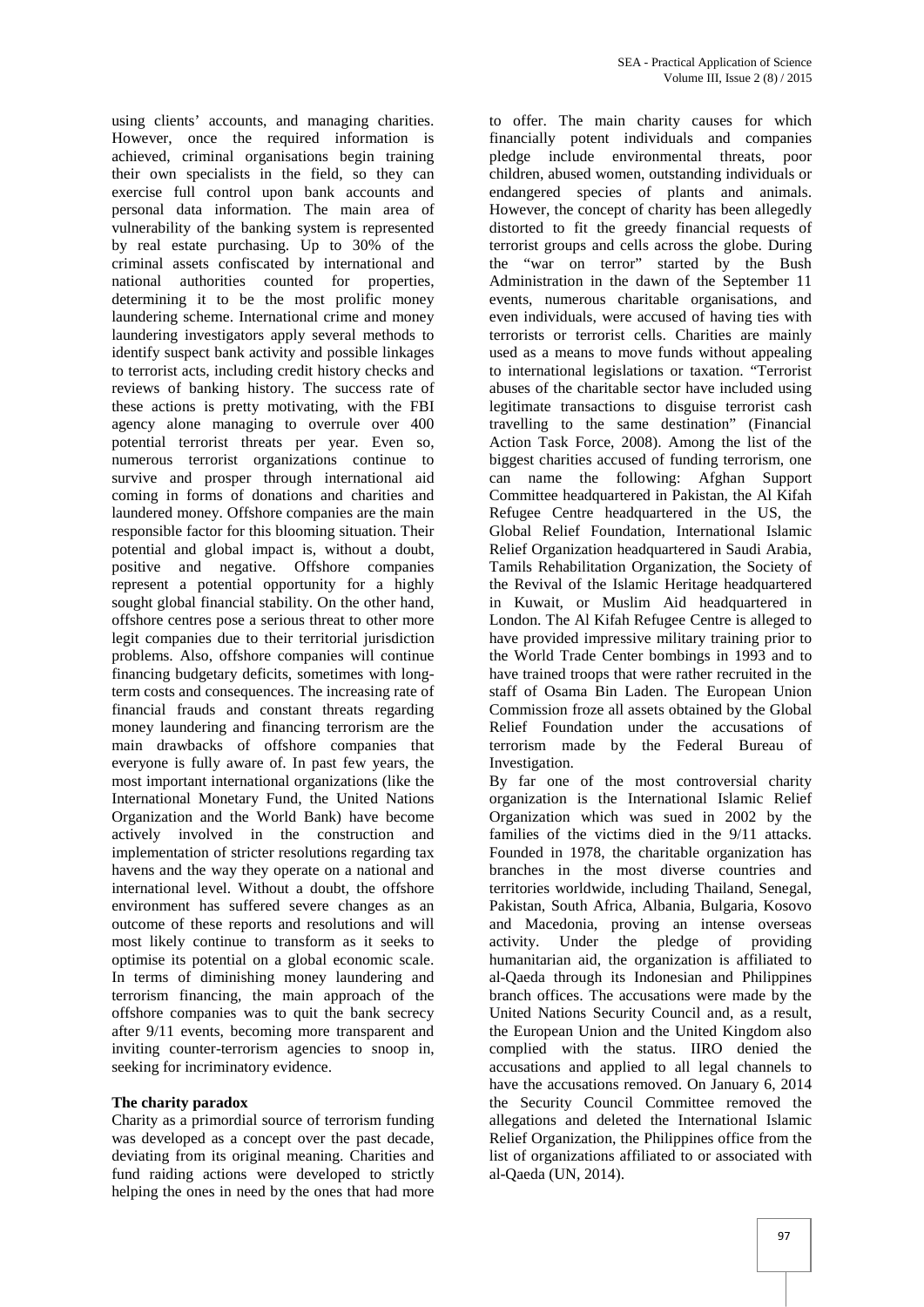using clients' accounts, and managing charities. However, once the required information is achieved, criminal organisations begin training their own specialists in the field, so they can exercise full control upon bank accounts and personal data information. The main area of vulnerability of the banking system is represented by real estate purchasing. Up to 30% of the criminal assets confiscated by international and national authorities counted for properties, determining it to be the most prolific money laundering scheme. International crime and money laundering investigators apply several methods to identify suspect bank activity and possible linkages to terrorist acts, including credit history checks and reviews of banking history. The success rate of these actions is pretty motivating, with the FBI agency alone managing to overrule over 400 potential terrorist threats per year. Even so, numerous terrorist organizations continue to survive and prosper through international aid coming in forms of donations and charities and laundered money. Offshore companies are the main responsible factor for this blooming situation. Their potential and global impact is, without a doubt, positive and negative. Offshore companies represent a potential opportunity for a highly sought global financial stability. On the other hand, offshore centres pose a serious threat to other more legit companies due to their territorial jurisdiction problems. Also, offshore companies will continue financing budgetary deficits, sometimes with longterm costs and consequences. The increasing rate of financial frauds and constant threats regarding money laundering and financing terrorism are the main drawbacks of offshore companies that everyone is fully aware of. In past few years, the most important international organizations (like the International Monetary Fund, the United Nations Organization and the World Bank) have become actively involved in the construction and implementation of stricter resolutions regarding tax havens and the way they operate on a national and international level. Without a doubt, the offshore environment has suffered severe changes as an outcome of these reports and resolutions and will most likely continue to transform as it seeks to optimise its potential on a global economic scale. In terms of diminishing money laundering and terrorism financing, the main approach of the offshore companies was to quit the bank secrecy after 9/11 events, becoming more transparent and inviting counter-terrorism agencies to snoop in, seeking for incriminatory evidence.

#### **The charity paradox**

Charity as a primordial source of terrorism funding was developed as a concept over the past decade, deviating from its original meaning. Charities and fund raiding actions were developed to strictly helping the ones in need by the ones that had more

to offer. The main charity causes for which financially potent individuals and companies pledge include environmental threats, poor children, abused women, outstanding individuals or endangered species of plants and animals. However, the concept of charity has been allegedly distorted to fit the greedy financial requests of terrorist groups and cells across the globe. During the "war on terror" started by the Bush Administration in the dawn of the September 11 events, numerous charitable organisations, and even individuals, were accused of having ties with terrorists or terrorist cells. Charities are mainly used as a means to move funds without appealing to international legislations or taxation. "Terrorist abuses of the charitable sector have included using legitimate transactions to disguise terrorist cash travelling to the same destination" (Financial Action Task Force, 2008). Among the list of the biggest charities accused of funding terrorism, one can name the following: Afghan Support Committee headquartered in Pakistan, the Al Kifah Refugee Centre headquartered in the US, the Global Relief Foundation, International Islamic Relief Organization headquartered in Saudi Arabia, Tamils Rehabilitation Organization, the Society of the Revival of the Islamic Heritage headquartered in Kuwait, or Muslim Aid headquartered in London. The Al Kifah Refugee Centre is alleged to have provided impressive military training prior to the World Trade Center bombings in 1993 and to have trained troops that were rather recruited in the staff of Osama Bin Laden. The European Union Commission froze all assets obtained by the Global Relief Foundation under the accusations of terrorism made by the Federal Bureau of Investigation.

By far one of the most controversial charity organization is the International Islamic Relief Organization which was sued in 2002 by the families of the victims died in the 9/11 attacks. Founded in 1978, the charitable organization has branches in the most diverse countries and territories worldwide, including Thailand, Senegal, Pakistan, South Africa, Albania, Bulgaria, Kosovo and Macedonia, proving an intense overseas the pledge of providing humanitarian aid, the organization is affiliated to al-Qaeda through its Indonesian and Philippines branch offices. The accusations were made by the United Nations Security Council and, as a result, the European Union and the United Kingdom also complied with the status. IIRO denied the accusations and applied to all legal channels to have the accusations removed. On January 6, 2014 the Security Council Committee removed the allegations and deleted the International Islamic Relief Organization, the Philippines office from the list of organizations affiliated to or associated with al-Qaeda (UN, 2014).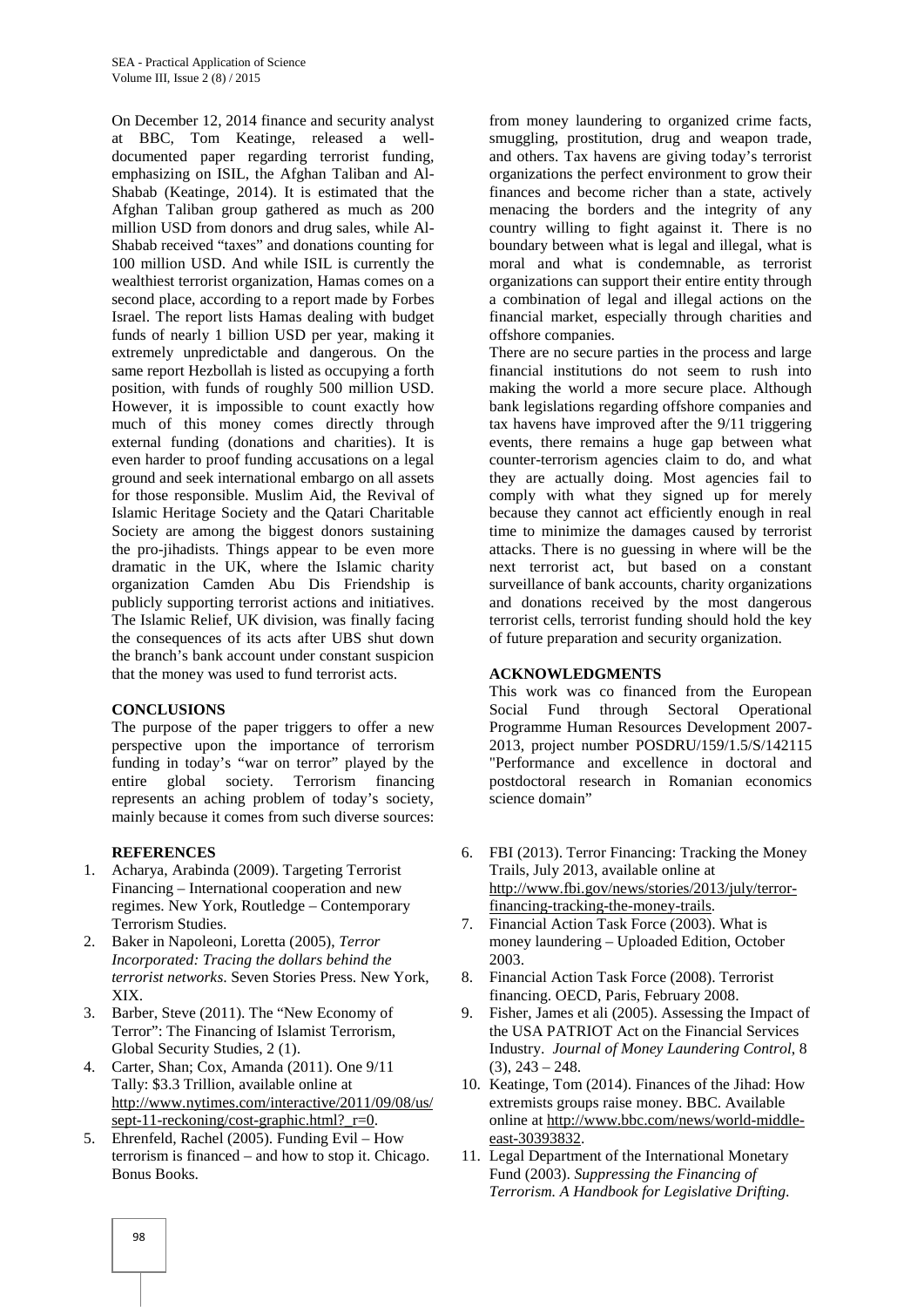On December 12, 2014 finance and security analyst at BBC, Tom Keatinge, released a well documented paper regarding terrorist funding, emphasizing on ISIL, the Afghan Taliban and Al- Shabab (Keatinge, 2014). It is estimated that the Afghan Taliban group gathered as much as 200 million USD from donors and drug sales, while Al- Shabab received "taxes" and donations counting for 100 million USD. And while ISIL is currently the wealthiest terrorist organization, Hamas comes on a second place, according to a report made by Forbes Israel. The report lists Hamas dealing with budget funds of nearly 1 billion USD per year, making it extremely unpredictable and dangerous. On the same report Hezbollah is listed as occupying a forth position, with funds of roughly 500 million USD. However, it is impossible to count exactly how much of this money comes directly through external funding (donations and charities). It is even harder to proof funding accusations on a legal ground and seek international embargo on all assets for those responsible. Muslim Aid, the Revival of Islamic Heritage Society and the Qatari Charitable Society are among the biggest donors sustaining the pro-jihadists. Things appear to be even more dramatic in the UK, where the Islamic charity organization Camden Abu Dis Friendship is publicly supporting terrorist actions and initiatives. The Islamic Relief, UK division, was finally facing the consequences of its acts after UBS shut down the branch's bank account under constant suspicion that the money was used to fund terrorist acts.

#### **CONCLUSIONS**

The purpose of the paper triggers to offer a new perspective upon the importance of terrorism funding in today's "war on terror" played by the entire global society. Terrorism financing represents an aching problem of today's society, mainly because it comes from such diverse sources:

#### **REFERENCES**

- 1. Acharya, Arabinda (2009). Targeting Terrorist Financing – International cooperation and new regimes. New York, Routledge – Contemporary Terrorism Studies.
- 2. Baker in Napoleoni, Loretta (2005), *Terror Incorporated: Tracing the dollars behind the terrorist networks*. Seven Stories Press. New York, XIX.
- 3. Barber, Steve (2011). The "New Economy of Terror": The Financing of Islamist Terrorism, Global Security Studies, 2 (1).
- 4. Carter, Shan; Cox, Amanda (2011). One 9/11 Tally: \$3.3 Trillion, available online at http://www.nytimes.com/interactive/2011/09/08/us/ sept-11-reckoning/cost-graphic.html?\_r=0.
- 5. Ehrenfeld, Rachel (2005). Funding Evil How terrorism is financed – and how to stop it. Chicago. Bonus Books.

from money laundering to organized crime facts, smuggling, prostitution, drug and weapon trade, and others. Tax havens are giving today's terrorist organizations the perfect environment to grow their finances and become richer than a state, actively menacing the borders and the integrity of any country willing to fight against it. There is no boundary between what is legal and illegal, what is moral and what is condemnable, as terrorist organizations can support their entire entity through a combination of legal and illegal actions on the financial market, especially through charities and offshore companies.

There are no secure parties in the process and large financial institutions do not seem to rush into making the world a more secure place. Although bank legislations regarding offshore companies and tax havens have improved after the 9/11 triggering events, there remains a huge gap between what counter-terrorism agencies claim to do, and what they are actually doing. Most agencies fail to comply with what they signed up for merely because they cannot act efficiently enough in real time to minimize the damages caused by terrorist attacks. There is no guessing in where will be the next terrorist act, but based on a constant surveillance of bank accounts, charity organizations and donations received by the most dangerous terrorist cells, terrorist funding should hold the key of future preparation and security organization.

#### **ACKNOWLEDGMENTS**

This work was co financed from the European Social Fund through Sectoral Operational Programme Human Resources Development 2007- 2013, project number POSDRU/159/1.5/S/142115 "Performance and excellence in doctoral and postdoctoral research in Romanian economics science domain"

- 6. FBI (2013). Terror Financing: Tracking the Money Trails, July 2013, available online at http://www.fbi.gov/news/stories/2013/july/terrorfinancing-tracking-the-money-trails.
- 7. Financial Action Task Force (2003). What is money laundering – Uploaded Edition, October 2003.
- 8. Financial Action Task Force (2008). Terrorist financing. OECD, Paris, February 2008.
- 9. Fisher, James et ali (2005). Assessing the Impact of the USA PATRIOT Act on the Financial Services Industry. *Journal of Money Laundering Control*, 8  $(3), 243 - 248.$
- 10. Keatinge, Tom (2014). Finances of the Jihad: How extremists groups raise money. BBC. Available online at http://www.bbc.com/news/world-middle east-30393832.
- 11. Legal Department of the International Monetary Fund (2003). *Suppressing the Financing of Terrorism. A Handbook for Legislative Drifting*.